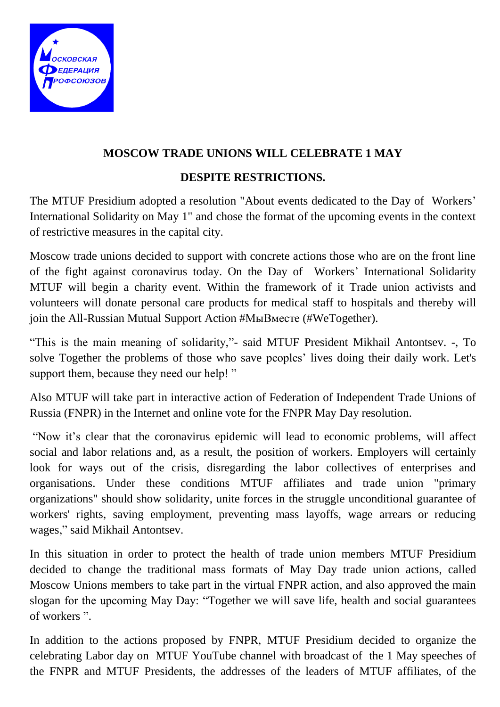

## **MOSCOW TRADE UNIONS WILL CELEBRATE 1 MAY**

## **DESPITE RESTRICTIONS.**

The MTUF Presidium adopted a resolution "About events dedicated to the Day of Workers' International Solidarity on May 1" and chose the format of the upcoming events in the context of restrictive measures in the capital city.

Moscow trade unions decided to support with concrete actions those who are on the front line of the fight against coronavirus today. On the Day of Workers' International Solidarity MTUF will begin a charity event. Within the framework of it Trade union activists and volunteers will donate personal care products for medical staff to hospitals and thereby will join the All-Russian Mutual Support Action #МыВместе (#WeTogether).

"This is the main meaning of solidarity,"- said MTUF President Mikhail Antontsev. -, To solve Together the problems of those who save peoples' lives doing their daily work. Let's support them, because they need our help!"

Also MTUF will take part in interactive action of Federation of Independent Trade Unions of Russia (FNPR) in the Internet and online vote for the FNPR May Day resolution.

"Now it's clear that the coronavirus epidemic will lead to economic problems, will affect social and labor relations and, as a result, the position of workers. Employers will certainly look for ways out of the crisis, disregarding the labor collectives of enterprises and organisations. Under these conditions MTUF affiliates and trade union "primary organizations" should show solidarity, unite forces in the struggle unconditional guarantee of workers' rights, saving employment, preventing mass layoffs, wage arrears or reducing wages," said Mikhail Antontsev.

In this situation in order to protect the health of trade union members MTUF Presidium decided to change the traditional mass formats of May Day trade union actions, called Moscow Unions members to take part in the virtual FNPR action, and also approved the main slogan for the upcoming May Day: "Together we will save life, health and social guarantees of workers ".

In addition to the actions proposed by FNPR, MTUF Presidium decided to organize the celebrating Labor day on MTUF YouTube channel with broadcast of the 1 May speeches of the FNPR and MTUF Presidents, the addresses of the leaders of MTUF affiliates, of the